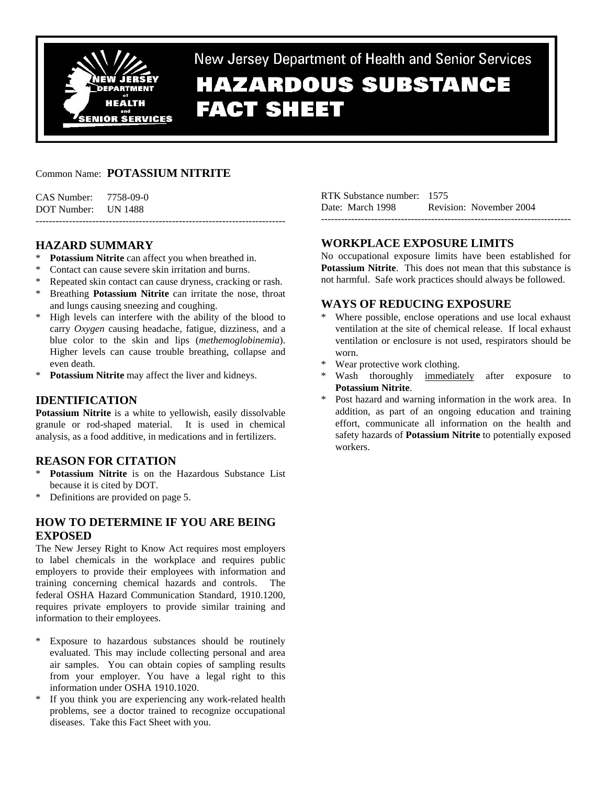

New Jersey Department of Health and Senior Services **HAZARDOUS SUBSTANCE FACT SHEET** 

# Common Name: **POTASSIUM NITRITE**

CAS Number: 7758-09-0 DOT Number: UN 1488 ---------------------------------------------------------------------------

# **HAZARD SUMMARY**

- \* **Potassium Nitrite** can affect you when breathed in.
- \* Contact can cause severe skin irritation and burns.
- Repeated skin contact can cause dryness, cracking or rash.
- \* Breathing **Potassium Nitrite** can irritate the nose, throat and lungs causing sneezing and coughing.
- \* High levels can interfere with the ability of the blood to carry *Oxygen* causing headache, fatigue, dizziness, and a blue color to the skin and lips (*methemoglobinemia*). Higher levels can cause trouble breathing, collapse and even death.
- Potassium Nitrite may affect the liver and kidneys.

# **IDENTIFICATION**

**Potassium Nitrite** is a white to yellowish, easily dissolvable granule or rod-shaped material. It is used in chemical analysis, as a food additive, in medications and in fertilizers.

## **REASON FOR CITATION**

- \* **Potassium Nitrite** is on the Hazardous Substance List because it is cited by DOT.
- \* Definitions are provided on page 5.

# **HOW TO DETERMINE IF YOU ARE BEING EXPOSED**

The New Jersey Right to Know Act requires most employers to label chemicals in the workplace and requires public employers to provide their employees with information and training concerning chemical hazards and controls. The federal OSHA Hazard Communication Standard, 1910.1200, requires private employers to provide similar training and information to their employees.

- \* Exposure to hazardous substances should be routinely evaluated. This may include collecting personal and area air samples. You can obtain copies of sampling results from your employer. You have a legal right to this information under OSHA 1910.1020.
- If you think you are experiencing any work-related health problems, see a doctor trained to recognize occupational diseases. Take this Fact Sheet with you.

RTK Substance number: 1575 Date: March 1998 Revision: November 2004 ---------------------------------------------------------------------------

## **WORKPLACE EXPOSURE LIMITS**

No occupational exposure limits have been established for **Potassium Nitrite**. This does not mean that this substance is not harmful. Safe work practices should always be followed.

## **WAYS OF REDUCING EXPOSURE**

- \* Where possible, enclose operations and use local exhaust ventilation at the site of chemical release. If local exhaust ventilation or enclosure is not used, respirators should be worn.
- \* Wear protective work clothing.
- Wash thoroughly immediately after exposure to **Potassium Nitrite**.
- Post hazard and warning information in the work area. In addition, as part of an ongoing education and training effort, communicate all information on the health and safety hazards of **Potassium Nitrite** to potentially exposed workers.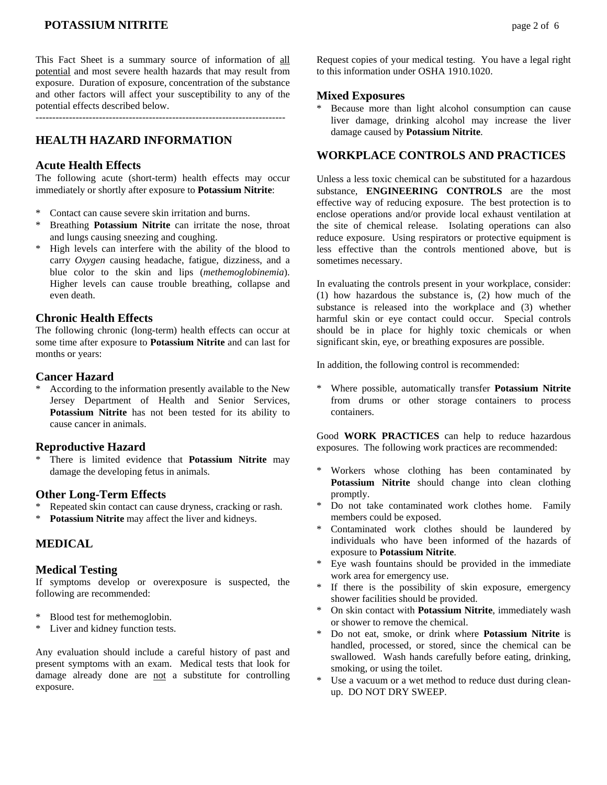# **POTASSIUM NITRITE** and the page 2 of 6

This Fact Sheet is a summary source of information of all potential and most severe health hazards that may result from exposure. Duration of exposure, concentration of the substance and other factors will affect your susceptibility to any of the potential effects described below.

## **HEALTH HAZARD INFORMATION**

### **Acute Health Effects**

The following acute (short-term) health effects may occur immediately or shortly after exposure to **Potassium Nitrite**:

- \* Contact can cause severe skin irritation and burns.
- \* Breathing **Potassium Nitrite** can irritate the nose, throat and lungs causing sneezing and coughing.
- High levels can interfere with the ability of the blood to carry *Oxygen* causing headache, fatigue, dizziness, and a blue color to the skin and lips (*methemoglobinemia*). Higher levels can cause trouble breathing, collapse and even death.

## **Chronic Health Effects**

The following chronic (long-term) health effects can occur at some time after exposure to **Potassium Nitrite** and can last for months or years:

### **Cancer Hazard**

According to the information presently available to the New Jersey Department of Health and Senior Services, **Potassium Nitrite** has not been tested for its ability to cause cancer in animals.

### **Reproductive Hazard**

There is limited evidence that **Potassium Nitrite** may damage the developing fetus in animals.

### **Other Long-Term Effects**

- Repeated skin contact can cause dryness, cracking or rash.
- **Potassium Nitrite** may affect the liver and kidneys.

## **MEDICAL**

### **Medical Testing**

If symptoms develop or overexposure is suspected, the following are recommended:

- \* Blood test for methemoglobin.
- \* Liver and kidney function tests.

Any evaluation should include a careful history of past and present symptoms with an exam. Medical tests that look for damage already done are not a substitute for controlling exposure.

Request copies of your medical testing. You have a legal right to this information under OSHA 1910.1020.

### **Mixed Exposures**

\* Because more than light alcohol consumption can cause liver damage, drinking alcohol may increase the liver damage caused by **Potassium Nitrite**.

## **WORKPLACE CONTROLS AND PRACTICES**

Unless a less toxic chemical can be substituted for a hazardous substance, **ENGINEERING CONTROLS** are the most effective way of reducing exposure. The best protection is to enclose operations and/or provide local exhaust ventilation at the site of chemical release. Isolating operations can also reduce exposure. Using respirators or protective equipment is less effective than the controls mentioned above, but is sometimes necessary.

In evaluating the controls present in your workplace, consider: (1) how hazardous the substance is, (2) how much of the substance is released into the workplace and (3) whether harmful skin or eye contact could occur. Special controls should be in place for highly toxic chemicals or when significant skin, eye, or breathing exposures are possible.

In addition, the following control is recommended:

\* Where possible, automatically transfer **Potassium Nitrite** from drums or other storage containers to process containers.

Good **WORK PRACTICES** can help to reduce hazardous exposures. The following work practices are recommended:

- Workers whose clothing has been contaminated by **Potassium Nitrite** should change into clean clothing promptly.
- \* Do not take contaminated work clothes home. Family members could be exposed.
- \* Contaminated work clothes should be laundered by individuals who have been informed of the hazards of exposure to **Potassium Nitrite**.
- Eye wash fountains should be provided in the immediate work area for emergency use.
- If there is the possibility of skin exposure, emergency shower facilities should be provided.
- \* On skin contact with **Potassium Nitrite**, immediately wash or shower to remove the chemical.
- \* Do not eat, smoke, or drink where **Potassium Nitrite** is handled, processed, or stored, since the chemical can be swallowed. Wash hands carefully before eating, drinking, smoking, or using the toilet.
- Use a vacuum or a wet method to reduce dust during cleanup. DO NOT DRY SWEEP.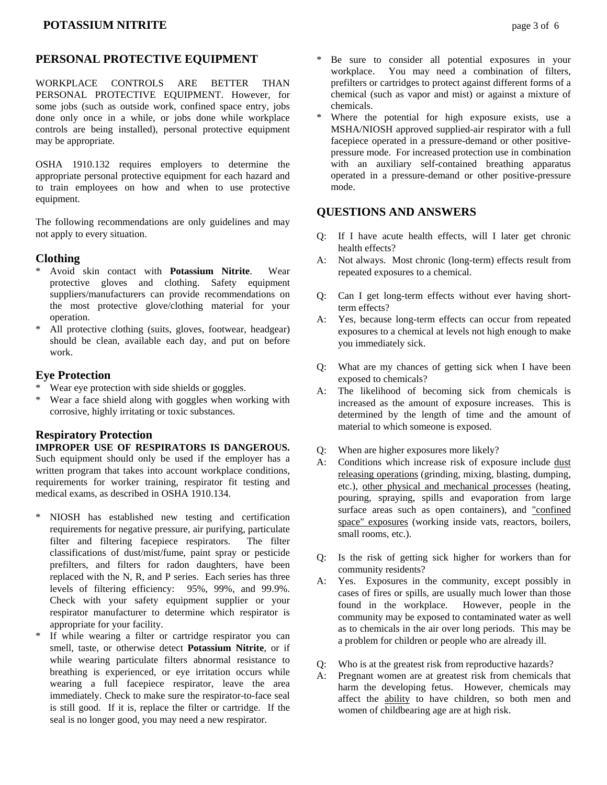# **PERSONAL PROTECTIVE EQUIPMENT**

WORKPLACE CONTROLS ARE BETTER THAN PERSONAL PROTECTIVE EQUIPMENT. However, for some jobs (such as outside work, confined space entry, jobs done only once in a while, or jobs done while workplace controls are being installed), personal protective equipment may be appropriate.

OSHA 1910.132 requires employers to determine the appropriate personal protective equipment for each hazard and to train employees on how and when to use protective equipment.

The following recommendations are only guidelines and may not apply to every situation.

# **Clothing**

- \* Avoid skin contact with **Potassium Nitrite**. Wear protective gloves and clothing. Safety equipment suppliers/manufacturers can provide recommendations on the most protective glove/clothing material for your operation.
- \* All protective clothing (suits, gloves, footwear, headgear) should be clean, available each day, and put on before work.

# **Eye Protection**

- \* Wear eye protection with side shields or goggles.
- \* Wear a face shield along with goggles when working with corrosive, highly irritating or toxic substances.

# **Respiratory Protection**

## **IMPROPER USE OF RESPIRATORS IS DANGEROUS.**

Such equipment should only be used if the employer has a written program that takes into account workplace conditions, requirements for worker training, respirator fit testing and medical exams, as described in OSHA 1910.134.

- \* NIOSH has established new testing and certification requirements for negative pressure, air purifying, particulate filter and filtering facepiece respirators. The filter classifications of dust/mist/fume, paint spray or pesticide prefilters, and filters for radon daughters, have been replaced with the N, R, and P series. Each series has three levels of filtering efficiency: 95%, 99%, and 99.9%. Check with your safety equipment supplier or your respirator manufacturer to determine which respirator is appropriate for your facility.
- \* If while wearing a filter or cartridge respirator you can smell, taste, or otherwise detect **Potassium Nitrite**, or if while wearing particulate filters abnormal resistance to breathing is experienced, or eye irritation occurs while wearing a full facepiece respirator, leave the area immediately. Check to make sure the respirator-to-face seal is still good. If it is, replace the filter or cartridge. If the seal is no longer good, you may need a new respirator.
- Be sure to consider all potential exposures in your workplace. You may need a combination of filters, prefilters or cartridges to protect against different forms of a chemical (such as vapor and mist) or against a mixture of chemicals.
- Where the potential for high exposure exists, use a MSHA/NIOSH approved supplied-air respirator with a full facepiece operated in a pressure-demand or other positivepressure mode. For increased protection use in combination with an auxiliary self-contained breathing apparatus operated in a pressure-demand or other positive-pressure mode.

# **QUESTIONS AND ANSWERS**

- Q: If I have acute health effects, will I later get chronic health effects?
- A: Not always. Most chronic (long-term) effects result from repeated exposures to a chemical.
- Q: Can I get long-term effects without ever having shortterm effects?
- A: Yes, because long-term effects can occur from repeated exposures to a chemical at levels not high enough to make you immediately sick.
- Q: What are my chances of getting sick when I have been exposed to chemicals?
- A: The likelihood of becoming sick from chemicals is increased as the amount of exposure increases. This is determined by the length of time and the amount of material to which someone is exposed.
- Q: When are higher exposures more likely?
- A: Conditions which increase risk of exposure include dust releasing operations (grinding, mixing, blasting, dumping, etc.), other physical and mechanical processes (heating, pouring, spraying, spills and evaporation from large surface areas such as open containers), and "confined space" exposures (working inside vats, reactors, boilers, small rooms, etc.).
- Q: Is the risk of getting sick higher for workers than for community residents?
- A: Yes. Exposures in the community, except possibly in cases of fires or spills, are usually much lower than those found in the workplace. However, people in the community may be exposed to contaminated water as well as to chemicals in the air over long periods. This may be a problem for children or people who are already ill.
- Q: Who is at the greatest risk from reproductive hazards?
- A: Pregnant women are at greatest risk from chemicals that harm the developing fetus. However, chemicals may affect the ability to have children, so both men and women of childbearing age are at high risk.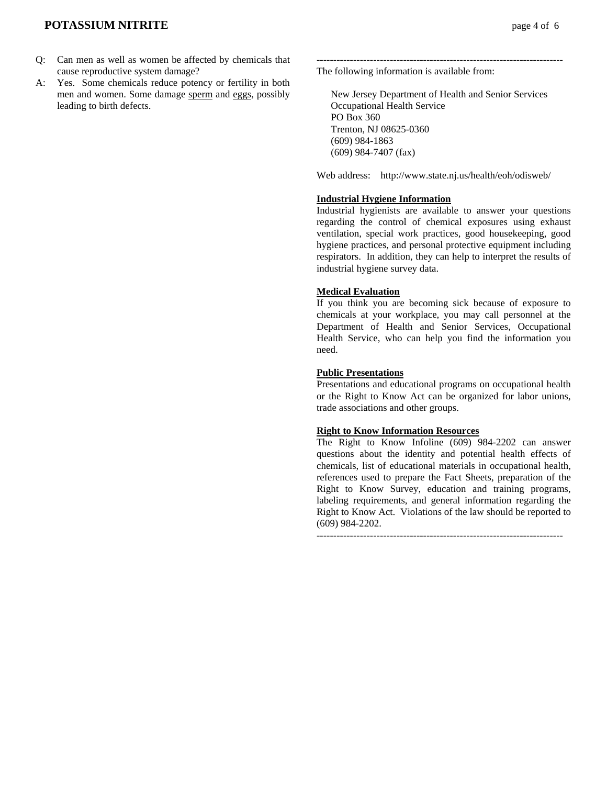## **POTASSIUM NITRITE** *page 4 of 6*

- Q: Can men as well as women be affected by chemicals that cause reproductive system damage?
- A: Yes. Some chemicals reduce potency or fertility in both men and women. Some damage sperm and eggs, possibly leading to birth defects.

The following information is available from:

 New Jersey Department of Health and Senior Services Occupational Health Service PO Box 360 Trenton, NJ 08625-0360 (609) 984-1863 (609) 984-7407 (fax)

--------------------------------------------------------------------------

Web address: http://www.state.nj.us/health/eoh/odisweb/

### **Industrial Hygiene Information**

Industrial hygienists are available to answer your questions regarding the control of chemical exposures using exhaust ventilation, special work practices, good housekeeping, good hygiene practices, and personal protective equipment including respirators. In addition, they can help to interpret the results of industrial hygiene survey data.

#### **Medical Evaluation**

If you think you are becoming sick because of exposure to chemicals at your workplace, you may call personnel at the Department of Health and Senior Services, Occupational Health Service, who can help you find the information you need.

#### **Public Presentations**

Presentations and educational programs on occupational health or the Right to Know Act can be organized for labor unions, trade associations and other groups.

### **Right to Know Information Resources**

The Right to Know Infoline (609) 984-2202 can answer questions about the identity and potential health effects of chemicals, list of educational materials in occupational health, references used to prepare the Fact Sheets, preparation of the Right to Know Survey, education and training programs, labeling requirements, and general information regarding the Right to Know Act. Violations of the law should be reported to (609) 984-2202.

 $-$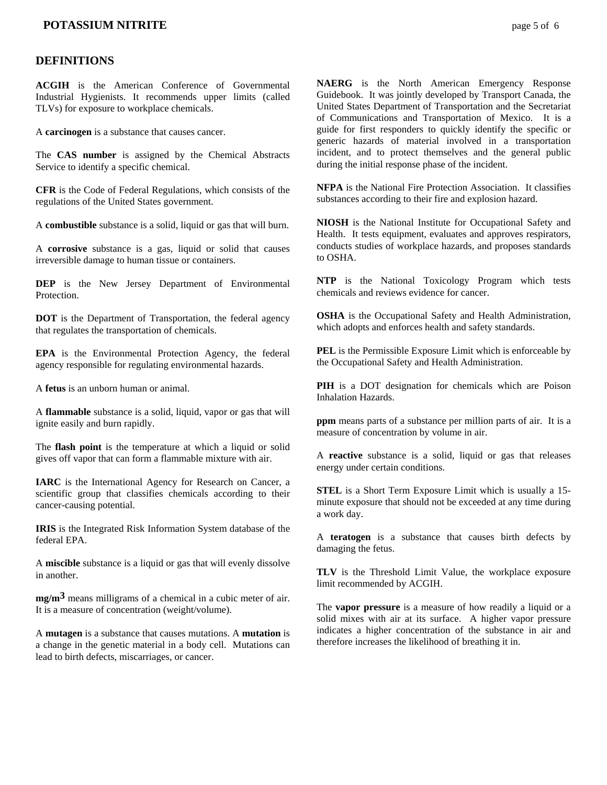## **POTASSIUM NITRITE page 5 of 6**

### **DEFINITIONS**

**ACGIH** is the American Conference of Governmental Industrial Hygienists. It recommends upper limits (called TLVs) for exposure to workplace chemicals.

A **carcinogen** is a substance that causes cancer.

The **CAS number** is assigned by the Chemical Abstracts Service to identify a specific chemical.

**CFR** is the Code of Federal Regulations, which consists of the regulations of the United States government.

A **combustible** substance is a solid, liquid or gas that will burn.

A **corrosive** substance is a gas, liquid or solid that causes irreversible damage to human tissue or containers.

**DEP** is the New Jersey Department of Environmental **Protection** 

**DOT** is the Department of Transportation, the federal agency that regulates the transportation of chemicals.

**EPA** is the Environmental Protection Agency, the federal agency responsible for regulating environmental hazards.

A **fetus** is an unborn human or animal.

A **flammable** substance is a solid, liquid, vapor or gas that will ignite easily and burn rapidly.

The **flash point** is the temperature at which a liquid or solid gives off vapor that can form a flammable mixture with air.

**IARC** is the International Agency for Research on Cancer, a scientific group that classifies chemicals according to their cancer-causing potential.

**IRIS** is the Integrated Risk Information System database of the federal EPA.

A **miscible** substance is a liquid or gas that will evenly dissolve in another.

**mg/m3** means milligrams of a chemical in a cubic meter of air. It is a measure of concentration (weight/volume).

A **mutagen** is a substance that causes mutations. A **mutation** is a change in the genetic material in a body cell. Mutations can lead to birth defects, miscarriages, or cancer.

**NAERG** is the North American Emergency Response Guidebook. It was jointly developed by Transport Canada, the United States Department of Transportation and the Secretariat of Communications and Transportation of Mexico. It is a guide for first responders to quickly identify the specific or generic hazards of material involved in a transportation incident, and to protect themselves and the general public during the initial response phase of the incident.

**NFPA** is the National Fire Protection Association. It classifies substances according to their fire and explosion hazard.

**NIOSH** is the National Institute for Occupational Safety and Health. It tests equipment, evaluates and approves respirators, conducts studies of workplace hazards, and proposes standards to OSHA.

**NTP** is the National Toxicology Program which tests chemicals and reviews evidence for cancer.

**OSHA** is the Occupational Safety and Health Administration, which adopts and enforces health and safety standards.

**PEL** is the Permissible Exposure Limit which is enforceable by the Occupational Safety and Health Administration.

**PIH** is a DOT designation for chemicals which are Poison Inhalation Hazards.

**ppm** means parts of a substance per million parts of air. It is a measure of concentration by volume in air.

A **reactive** substance is a solid, liquid or gas that releases energy under certain conditions.

**STEL** is a Short Term Exposure Limit which is usually a 15 minute exposure that should not be exceeded at any time during a work day.

A **teratogen** is a substance that causes birth defects by damaging the fetus.

**TLV** is the Threshold Limit Value, the workplace exposure limit recommended by ACGIH.

The **vapor pressure** is a measure of how readily a liquid or a solid mixes with air at its surface. A higher vapor pressure indicates a higher concentration of the substance in air and therefore increases the likelihood of breathing it in.